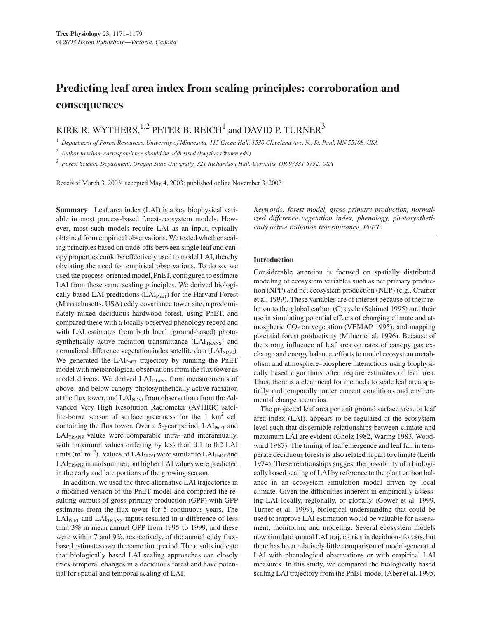# **Predicting leaf area index from scaling principles: corroboration and consequences**

KIRK R. WYTHERS,  $^{1,2}$  PETER B. REICH<sup>1</sup> and DAVID P. TURNER<sup>3</sup>

<sup>1</sup> *Department of Forest Resources, University of Minnesota, 115 Green Hall, 1530 Cleveland Ave. N., St. Paul, MN 55108, USA*

<sup>2</sup> *Author to whom correspondence should be addressed (kwythers@umn.edu)*

<sup>3</sup> *Forest Science Department, Oregon State University, 321 Richardson Hall, Corvallis, OR 97331-5752, USA*

Received March 3, 2003; accepted May 4, 2003; published online November 3, 2003

**Summary** Leaf area index (LAI) is a key biophysical variable in most process-based forest-ecosystem models. However, most such models require LAI as an input, typically obtained from empirical observations. We tested whether scaling principles based on trade-offs between single leaf and canopy properties could be effectively used to model LAI, thereby obviating the need for empirical observations. To do so, we used the process-oriented model, PnET, configured to estimate LAI from these same scaling principles. We derived biologically based LAI predictions  $(LAI<sub>PhET</sub>)$  for the Harvard Forest (Massachusetts, USA) eddy covariance tower site, a predominately mixed deciduous hardwood forest, using PnET, and compared these with a locally observed phenology record and with LAI estimates from both local (ground-based) photosynthetically active radiation transmittance  $(LAI<sub>TRANS</sub>)$  and normalized difference vegetation index satellite data (LAI<sub>NDVI</sub>). We generated the LAI<sub>PnET</sub> trajectory by running the PnET model with meteorological observations from the flux tower as model drivers. We derived  $LAI<sub>TRANS</sub>$  from measurements of above- and below-canopy photosynthetically active radiation at the flux tower, and LAI<sub>NDVI</sub> from observations from the Advanced Very High Resolution Radiometer (AVHRR) satellite-borne sensor of surface greenness for the 1 km2 cell containing the flux tower. Over a 5-year period,  $LAI_{PhET}$  and LAI<sub>TRANS</sub> values were comparable intra- and interannually, with maximum values differing by less than 0.1 to 0.2 LAI units  $(m^2 m^{-2})$ . Values of LAI<sub>NDVI</sub> were similar to LAI<sub>PnET</sub> and LAI<sub>TRANS</sub> in midsummer, but higher LAI values were predicted in the early and late portions of the growing season.

In addition, we used the three alternative LAI trajectories in a modified version of the PnET model and compared the resulting outputs of gross primary production (GPP) with GPP estimates from the flux tower for 5 continuous years. The  $LAI_{PnET}$  and  $LAI_{TRANS}$  inputs resulted in a difference of less than 3% in mean annual GPP from 1995 to 1999, and these were within 7 and 9%, respectively, of the annual eddy fluxbased estimates over the same time period. The results indicate that biologically based LAI scaling approaches can closely track temporal changes in a deciduous forest and have potential for spatial and temporal scaling of LAI.

*Keywords: forest model, gross primary production, normalized difference vegetation index, phenology, photosynthetically active radiation transmittance, PnET.*

# **Introduction**

Considerable attention is focused on spatially distributed modeling of ecosystem variables such as net primary production (NPP) and net ecosystem production (NEP) (e.g., Cramer et al. 1999). These variables are of interest because of their relation to the global carbon (C) cycle (Schimel 1995) and their use in simulating potential effects of changing climate and atmospheric  $CO<sub>2</sub>$  on vegetation (VEMAP 1995), and mapping potential forest productivity (Milner et al. 1996). Because of the strong influence of leaf area on rates of canopy gas exchange and energy balance, efforts to model ecosystem metabolism and atmosphere–biosphere interactions using biophysically based algorithms often require estimates of leaf area. Thus, there is a clear need for methods to scale leaf area spatially and temporally under current conditions and environmental change scenarios.

The projected leaf area per unit ground surface area, or leaf area index (LAI), appears to be regulated at the ecosystem level such that discernible relationships between climate and maximum LAI are evident (Gholz 1982, Waring 1983, Woodward 1987). The timing of leaf emergence and leaf fall in temperate deciduous forests is also related in part to climate (Leith 1974). These relationships suggest the possibility of a biologically based scaling of LAI by reference to the plant carbon balance in an ecosystem simulation model driven by local climate. Given the difficulties inherent in empirically assessing LAI locally, regionally, or globally (Gower et al. 1999, Turner et al. 1999), biological understanding that could be used to improve LAI estimation would be valuable for assessment, monitoring and modeling. Several ecosystem models now simulate annual LAI trajectories in deciduous forests, but there has been relatively little comparison of model-generated LAI with phenological observations or with empirical LAI measures. In this study, we compared the biologically based scaling LAI trajectory from the PnET model (Aber et al. 1995,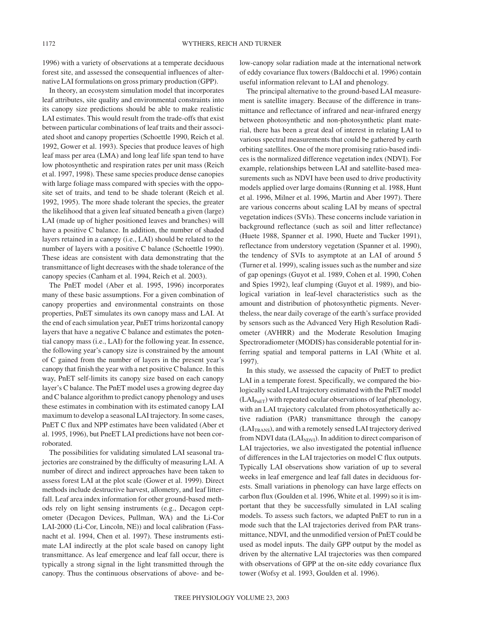1996) with a variety of observations at a temperate deciduous forest site, and assessed the consequential influences of alternative LAI formulations on gross primary production (GPP).

In theory, an ecosystem simulation model that incorporates leaf attributes, site quality and environmental constraints into its canopy size predictions should be able to make realistic LAI estimates. This would result from the trade-offs that exist between particular combinations of leaf traits and their associated shoot and canopy properties (Schoettle 1990, Reich et al. 1992, Gower et al. 1993). Species that produce leaves of high leaf mass per area (LMA) and long leaf life span tend to have low photosynthetic and respiration rates per unit mass (Reich et al. 1997, 1998). These same species produce dense canopies with large foliage mass compared with species with the opposite set of traits, and tend to be shade tolerant (Reich et al. 1992, 1995). The more shade tolerant the species, the greater the likelihood that a given leaf situated beneath a given (large) LAI (made up of higher positioned leaves and branches) will have a positive C balance. In addition, the number of shaded layers retained in a canopy (i.e., LAI) should be related to the number of layers with a positive C balance (Schoettle 1990). These ideas are consistent with data demonstrating that the transmittance of light decreases with the shade tolerance of the canopy species (Canham et al. 1994, Reich et al. 2003).

The PnET model (Aber et al. 1995, 1996) incorporates many of these basic assumptions. For a given combination of canopy properties and environmental constraints on those properties, PnET simulates its own canopy mass and LAI. At the end of each simulation year, PnET trims horizontal canopy layers that have a negative C balance and estimates the potential canopy mass (i.e., LAI) for the following year. In essence, the following year's canopy size is constrained by the amount of C gained from the number of layers in the present year's canopy that finish the year with a net positive C balance. In this way, PnET self-limits its canopy size based on each canopy layer's C balance. The PnET model uses a growing degree day and C balance algorithm to predict canopy phenology and uses these estimates in combination with its estimated canopy LAI maximum to develop a seasonal LAI trajectory. In some cases, PnET C flux and NPP estimates have been validated (Aber et al. 1995, 1996), but PneET LAI predictions have not been corroborated.

The possibilities for validating simulated LAI seasonal trajectories are constrained by the difficulty of measuring LAI. A number of direct and indirect approaches have been taken to assess forest LAI at the plot scale (Gower et al. 1999). Direct methods include destructive harvest, allometry, and leaf litterfall. Leaf area index information for other ground-based methods rely on light sensing instruments (e.g., Decagon ceptometer (Decagon Devices, Pullman, WA) and the Li-Cor LAI-2000 (Li-Cor, Lincoln, NE)) and local calibration (Fassnacht et al. 1994, Chen et al. 1997). These instruments estimate LAI indirectly at the plot scale based on canopy light transmittance. As leaf emergence and leaf fall occur, there is typically a strong signal in the light transmitted through the canopy. Thus the continuous observations of above- and below-canopy solar radiation made at the international network of eddy covariance flux towers (Baldocchi et al. 1996) contain useful information relevant to LAI and phenology.

The principal alternative to the ground-based LAI measurement is satellite imagery. Because of the difference in transmittance and reflectance of infrared and near-infrared energy between photosynthetic and non-photosynthetic plant material, there has been a great deal of interest in relating LAI to various spectral measurements that could be gathered by earth orbiting satellites. One of the more promising ratio-based indices is the normalized difference vegetation index (NDVI). For example, relationships between LAI and satellite-based measurements such as NDVI have been used to drive productivity models applied over large domains (Running et al. 1988, Hunt et al. 1996, Milner et al. 1996, Martin and Aber 1997). There are various concerns about scaling LAI by means of spectral vegetation indices (SVIs). These concerns include variation in background reflectance (such as soil and litter reflectance) (Huete 1988, Spanner et al. 1990, Huete and Tucker 1991), reflectance from understory vegetation (Spanner et al. 1990), the tendency of SVIs to asymptote at an LAI of around 5 (Turner et al. 1999), scaling issues such as the number and size of gap openings (Guyot et al. 1989, Cohen et al. 1990, Cohen and Spies 1992), leaf clumping (Guyot et al. 1989), and biological variation in leaf-level characteristics such as the amount and distribution of photosynthetic pigments. Nevertheless, the near daily coverage of the earth's surface provided by sensors such as the Advanced Very High Resolution Radiometer (AVHRR) and the Moderate Resolution Imaging Spectroradiometer (MODIS) has considerable potential for inferring spatial and temporal patterns in LAI (White et al. 1997).

In this study, we assessed the capacity of PnET to predict LAI in a temperate forest. Specifically, we compared the biologically scaled LAI trajectory estimated with the PnET model  $(LAI<sub>PhET</sub>)$  with repeated ocular observations of leaf phenology, with an LAI trajectory calculated from photosynthetically active radiation (PAR) transmittance through the canopy  $(LAI<sub>TRANS</sub>)$ , and with a remotely sensed LAI trajectory derived from NDVI data ( $LAI<sub>NDVI</sub>$ ). In addition to direct comparison of LAI trajectories, we also investigated the potential influence of differences in the LAI trajectories on model C flux outputs. Typically LAI observations show variation of up to several weeks in leaf emergence and leaf fall dates in deciduous forests. Small variations in phenology can have large effects on carbon flux (Goulden et al. 1996, White et al. 1999) so it is important that they be successfully simulated in LAI scaling models. To assess such factors, we adapted PnET to run in a mode such that the LAI trajectories derived from PAR transmittance, NDVI, and the unmodified version of PnET could be used as model inputs. The daily GPP output by the model as driven by the alternative LAI trajectories was then compared with observations of GPP at the on-site eddy covariance flux tower (Wofsy et al. 1993, Goulden et al. 1996).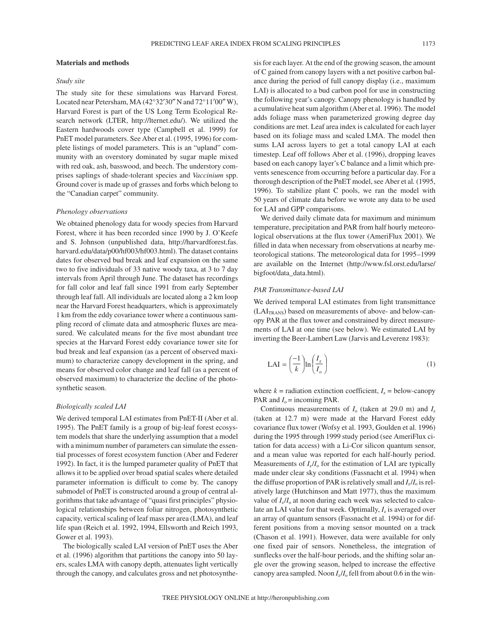## **Materials and methods**

## *Study site*

The study site for these simulations was Harvard Forest. Located near Petersham, MA (42°32′30″ N and 72°11′00″ W), Harvard Forest is part of the US Long Term Ecological Research network (LTER, http://lternet.edu/). We utilized the Eastern hardwoods cover type (Campbell et al. 1999) for PnET model parameters. See Aber et al. (1995, 1996) for complete listings of model parameters. This is an "upland" community with an overstory dominated by sugar maple mixed with red oak, ash, basswood, and beech. The understory comprises saplings of shade-tolerant species and *Vaccinium* spp. Ground cover is made up of grasses and forbs which belong to the "Canadian carpet" community.

#### *Phenology observations*

We obtained phenology data for woody species from Harvard Forest, where it has been recorded since 1990 by J. O'Keefe and S. Johnson (unpublished data, http://harvardforest.fas. harvard.edu/data/p00/hf003/hf003.html). The dataset contains dates for observed bud break and leaf expansion on the same two to five individuals of 33 native woody taxa, at 3 to 7 day intervals from April through June. The dataset has recordings for fall color and leaf fall since 1991 from early September through leaf fall. All individuals are located along a 2 km loop near the Harvard Forest headquarters, which is approximately 1 km from the eddy covariance tower where a continuous sampling record of climate data and atmospheric fluxes are measured. We calculated means for the five most abundant tree species at the Harvard Forest eddy covariance tower site for bud break and leaf expansion (as a percent of observed maximum) to characterize canopy development in the spring, and means for observed color change and leaf fall (as a percent of observed maximum) to characterize the decline of the photosynthetic season.

## *Biologically scaled LAI*

We derived temporal LAI estimates from PnET-II (Aber et al. 1995). The PnET family is a group of big-leaf forest ecosystem models that share the underlying assumption that a model with a minimum number of parameters can simulate the essential processes of forest ecosystem function (Aber and Federer 1992). In fact, it is the lumped parameter quality of PnET that allows it to be applied over broad spatial scales where detailed parameter information is difficult to come by. The canopy submodel of PnET is constructed around a group of central algorithms that take advantage of "quasi first principles" physiological relationships between foliar nitrogen, photosynthetic capacity, vertical scaling of leaf mass per area (LMA), and leaf life span (Reich et al. 1992, 1994, Ellsworth and Reich 1993, Gower et al. 1993).

The biologically scaled LAI version of PnET uses the Aber et al. (1996) algorithm that partitions the canopy into 50 layers, scales LMA with canopy depth, attenuates light vertically through the canopy, and calculates gross and net photosynthesis for each layer. At the end of the growing season, the amount of C gained from canopy layers with a net positive carbon balance during the period of full canopy display (i.e., maximum LAI) is allocated to a bud carbon pool for use in constructing the following year's canopy. Canopy phenology is handled by a cumulative heat sum algorithm (Aber et al. 1996). The model adds foliage mass when parameterized growing degree day conditions are met. Leaf area index is calculated for each layer based on its foliage mass and scaled LMA. The model then sums LAI across layers to get a total canopy LAI at each timestep. Leaf off follows Aber et al. (1996), dropping leaves based on each canopy layer's C balance and a limit which prevents senescence from occurring before a particular day. For a thorough description of the PnET model, see Aber et al*.* (1995, 1996). To stabilize plant C pools, we ran the model with 50 years of climate data before we wrote any data to be used for LAI and GPP comparisons.

We derived daily climate data for maximum and minimum temperature, precipitation and PAR from half hourly meteorological observations at the flux tower (AmeriFlux 2001). We filled in data when necessary from observations at nearby meteorological stations. The meteorological data for 1995–1999 are available on the Internet (http://www.fsl.orst.edu/larse/ bigfoot/data\_data.html).

## *PAR Transmittance-based LAI*

We derived temporal LAI estimates from light transmittance  $(LAI<sub>TRANS</sub>)$  based on measurements of above- and below-canopy PAR at the flux tower and constrained by direct measurements of LAI at one time (see below). We estimated LAI by inverting the Beer-Lambert Law (Jarvis and Leverenz 1983):

$$
LAI = \left(\frac{-1}{k}\right) \ln \left(\frac{I_z}{I_o}\right) \tag{1}
$$

where  $k =$  radiation extinction coefficient,  $I_z =$  below-canopy PAR and  $I_0$  = incoming PAR.

Continuous measurements of *I*<sup>o</sup> (taken at 29.0 m) and *I*<sup>z</sup> (taken at 12.7 m) were made at the Harvard Forest eddy covariance flux tower (Wofsy et al. 1993, Goulden et al. 1996) during the 1995 through 1999 study period (see AmeriFlux citation for data access) with a Li-Cor silicon quantum sensor, and a mean value was reported for each half-hourly period. Measurements of  $I_z/I_0$  for the estimation of LAI are typically made under clear sky conditions (Fassnacht et al. 1994) when the diffuse proportion of PAR is relatively small and  $I_z/I_0$  is relatively large (Hutchinson and Matt 1977), thus the maximum value of  $I_z/I_0$  at noon during each week was selected to calculate an LAI value for that week. Optimally,  $I_z$  is averaged over an array of quantum sensors (Fassnacht et al. 1994) or for different positions from a moving sensor mounted on a track (Chason et al. 1991). However, data were available for only one fixed pair of sensors. Nonetheless, the integration of sunflecks over the half-hour periods, and the shifting solar angle over the growing season, helped to increase the effective canopy area sampled. Noon  $I_z/I_0$  fell from about 0.6 in the win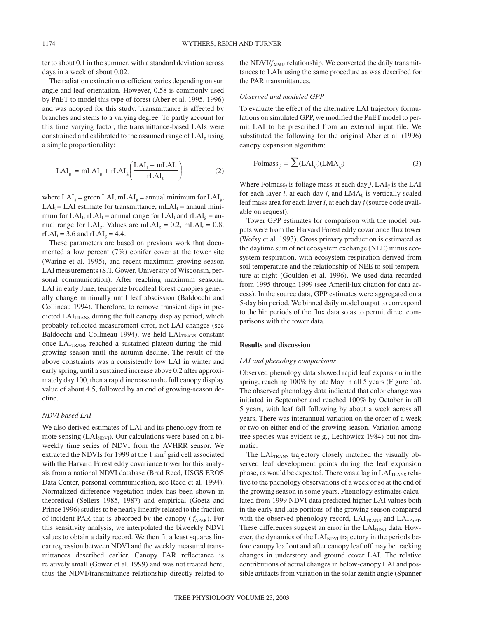ter to about 0.1 in the summer, with a standard deviation across days in a week of about 0.02.

The radiation extinction coefficient varies depending on sun angle and leaf orientation. However, 0.58 is commonly used by PnET to model this type of forest (Aber et al. 1995, 1996) and was adopted for this study. Transmittance is affected by branches and stems to a varying degree. To partly account for this time varying factor, the transmittance-based LAIs were constrained and calibrated to the assumed range of  $LAI<sub>g</sub>$  using a simple proportionality:

$$
LAI_g = mLAI_g + rLAI_g \left( \frac{LAI_t - mLAI_t}{rLAI_t} \right)
$$
 (2)

where  $LAI<sub>g</sub>$  = green LAI, mLAI<sub>g</sub> = annual minimum for LAI<sub>g</sub>,  $LAI_t = LAI$  estimate for transmittance, mLAI<sub>t</sub> = annual minimum for LAI<sub>t</sub>, rLAI<sub>t</sub> = annual range for LAI<sub>t</sub> and rLAI<sub>g</sub> = annual range for LAI<sub>g</sub>. Values are mLAI<sub>g</sub> = 0.2, mLAI<sub>t</sub> = 0.8,  $rLAI_t = 3.6$  and  $rLAI_g = 4.4$ .

These parameters are based on previous work that documented a low percent (7%) conifer cover at the tower site (Waring et al. 1995), and recent maximum growing season LAI measurements (S.T. Gower, University of Wisconsin, personal communication). After reaching maximum seasonal LAI in early June, temperate broadleaf forest canopies generally change minimally until leaf abscission (Baldocchi and Collineau 1994). Therefore, to remove transient dips in predicted  $LAI<sub>TRANS</sub>$  during the full canopy display period, which probably reflected measurement error, not LAI changes (see Baldocchi and Collineau 1994), we held  $LAI<sub>TRANS</sub>$  constant once  $LAI<sub>TRANS</sub>$  reached a sustained plateau during the midgrowing season until the autumn decline. The result of the above constraints was a consistently low LAI in winter and early spring, until a sustained increase above 0.2 after approximately day 100, then a rapid increase to the full canopy display value of about 4.5, followed by an end of growing-season decline.

## *NDVI based LAI*

We also derived estimates of LAI and its phenology from remote sensing  $(LAI<sub>NDVI</sub>)$ . Our calculations were based on a biweekly time series of NDVI from the AVHRR sensor. We extracted the NDVIs for 1999 at the  $1 \text{ km}^2$  grid cell associated with the Harvard Forest eddy covariance tower for this analysis from a national NDVI database (Brad Reed, USGS EROS Data Center, personal communication, see Reed et al. 1994). Normalized difference vegetation index has been shown in theoretical (Sellers 1985, 1987) and empirical (Goetz and Prince 1996) studies to be nearly linearly related to the fraction of incident PAR that is absorbed by the canopy  $(f_{APAR})$ . For this sensitivity analysis, we interpolated the biweekly NDVI values to obtain a daily record. We then fit a least squares linear regression between NDVI and the weekly measured transmittances described earlier. Canopy PAR reflectance is relatively small (Gower et al. 1999) and was not treated here, thus the NDVI/transmittance relationship directly related to the NDVI/*f*<sub>APAR</sub> relationship. We converted the daily transmittances to LAIs using the same procedure as was described for the PAR transmittances.

### *Observed and modeled GPP*

To evaluate the effect of the alternative LAI trajectory formulations on simulated GPP, we modified the PnET model to permit LAI to be prescribed from an external input file. We substituted the following for the original Aber et al. (1996) canopy expansion algorithm:

$$
\text{Folmass}_{j} = \sum (\text{LAI}_{ij})(\text{LMA}_{ij}) \tag{3}
$$

Where Folmass<sub>*i*</sub> is foliage mass at each day *j*,  $LAI_{ii}$  is the LAI for each layer  $i$ , at each day  $j$ , and  $LMA_{ij}$  is vertically scaled leaf mass area for each layer *i*, at each day *j* (source code available on request).

Tower GPP estimates for comparison with the model outputs were from the Harvard Forest eddy covariance flux tower (Wofsy et al. 1993). Gross primary production is estimated as the daytime sum of net ecosystem exchange (NEE) minus ecosystem respiration, with ecosystem respiration derived from soil temperature and the relationship of NEE to soil temperature at night (Goulden et al. 1996). We used data recorded from 1995 through 1999 (see AmeriFlux citation for data access). In the source data, GPP estimates were aggregated on a 5-day bin period. We binned daily model output to correspond to the bin periods of the flux data so as to permit direct comparisons with the tower data.

#### **Results and discussion**

# *LAI and phenology comparisons*

Observed phenology data showed rapid leaf expansion in the spring, reaching 100% by late May in all 5 years (Figure 1a). The observed phenology data indicated that color change was initiated in September and reached 100% by October in all 5 years, with leaf fall following by about a week across all years. There was interannual variation on the order of a week or two on either end of the growing season. Variation among tree species was evident (e.g., Lechowicz 1984) but not dramatic.

The  $LAI<sub>TRANS</sub>$  trajectory closely matched the visually observed leaf development points during the leaf expansion phase, as would be expected. There was a lag in  $LAI<sub>TRANS</sub>$  relative to the phenology observations of a week or so at the end of the growing season in some years. Phenology estimates calculated from 1999 NDVI data predicted higher LAI values both in the early and late portions of the growing season compared with the observed phenology record, LAITRANS and LAIPnET. These differences suggest an error in the LAI<sub>NDVI</sub> data. However, the dynamics of the LAI<sub>NDVI</sub> trajectory in the periods before canopy leaf out and after canopy leaf off may be tracking changes in understory and ground cover LAI. The relative contributions of actual changes in below-canopy LAI and possible artifacts from variation in the solar zenith angle (Spanner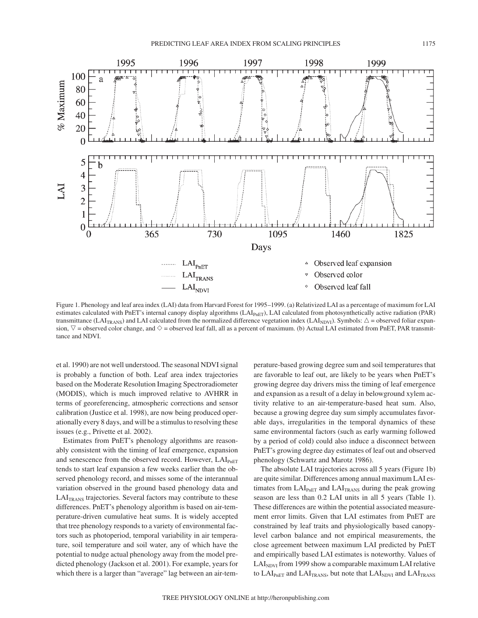

Figure 1. Phenology and leaf area index (LAI) data from Harvard Forest for 1995–1999. (a) Relativized LAI as a percentage of maximum for LAI estimates calculated with PnET's internal canopy display algorithms (LAI<sub>PnET</sub>), LAI calculated from photosynthetically active radiation (PAR) transmittance (LAI<sub>TRANS</sub>) and LAI calculated from the normalized difference vegetation index (LAI<sub>NDVI</sub>). Symbols:  $\Delta$  = observed foliar expansion,  $\triangledown$  = observed color change, and  $\diamond$  = observed leaf fall, all as a percent of maximum. (b) Actual LAI estimated from PnET, PAR transmittance and NDVI.

et al. 1990) are not well understood. The seasonal NDVI signal is probably a function of both. Leaf area index trajectories based on the Moderate Resolution Imaging Spectroradiometer (MODIS), which is much improved relative to AVHRR in terms of georeferencing, atmospheric corrections and sensor calibration (Justice et al. 1998), are now being produced operationally every 8 days, and will be a stimulus to resolving these issues (e.g., Privette et al. 2002).

Estimates from PnET's phenology algorithms are reasonably consistent with the timing of leaf emergence, expansion and senescence from the observed record. However, LAI<sub>PnET</sub> tends to start leaf expansion a few weeks earlier than the observed phenology record, and misses some of the interannual variation observed in the ground based phenology data and LAI<sub>TRANS</sub> trajectories. Several factors may contribute to these differences. PnET's phenology algorithm is based on air-temperature-driven cumulative heat sums. It is widely accepted that tree phenology responds to a variety of environmental factors such as photoperiod, temporal variability in air temperature, soil temperature and soil water, any of which have the potential to nudge actual phenology away from the model predicted phenology (Jackson et al. 2001). For example, years for which there is a larger than "average" lag between an air-temperature-based growing degree sum and soil temperatures that are favorable to leaf out, are likely to be years when PnET's growing degree day drivers miss the timing of leaf emergence and expansion as a result of a delay in belowground xylem activity relative to an air-temperature-based heat sum. Also, because a growing degree day sum simply accumulates favorable days, irregularities in the temporal dynamics of these same environmental factors (such as early warming followed by a period of cold) could also induce a disconnect between PnET's growing degree day estimates of leaf out and observed phenology (Schwartz and Marotz 1986).

The absolute LAI trajectories across all 5 years (Figure 1b) are quite similar. Differences among annual maximum LAI estimates from  $LAI<sub>PhET</sub>$  and  $LAI<sub>TRANS</sub>$  during the peak growing season are less than 0.2 LAI units in all 5 years (Table 1). These differences are within the potential associated measurement error limits. Given that LAI estimates from PnET are constrained by leaf traits and physiologically based canopylevel carbon balance and not empirical measurements, the close agreement between maximum LAI predicted by PnET and empirically based LAI estimates is noteworthy. Values of  $LAI<sub>NDVI</sub>$  from 1999 show a comparable maximum LAI relative to  $LAI_{PnET}$  and  $LAI_{TRANS}$ , but note that  $LAI_{NDVI}$  and  $LAI_{TRANS}$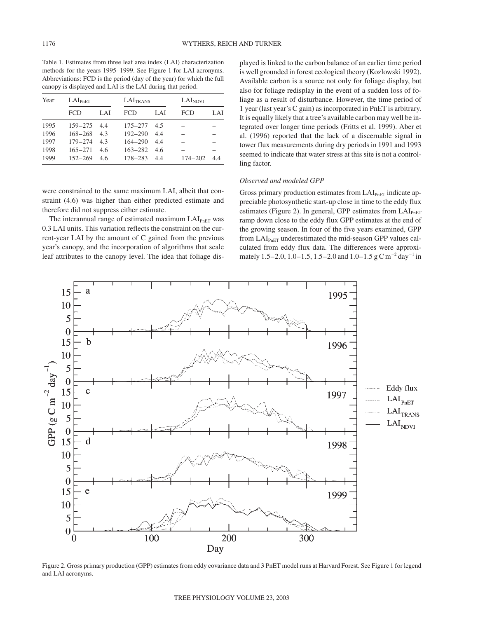Table 1. Estimates from three leaf area index (LAI) characterization methods for the years 1995–1999. See Figure 1 for LAI acronyms. Abbreviations: FCD is the period (day of the year) for which the full canopy is displayed and LAI is the LAI during that period.

| Year | $LAI_{PnET}$ |     | LAI <sub>TRANS</sub> |     | LAI <sub>NDVI</sub> |     |
|------|--------------|-----|----------------------|-----|---------------------|-----|
|      | FCD          | LAI | FCD                  | LAI | FCD                 | LAI |
| 1995 | $159 - 275$  | 4.4 | $175 - 277$          | 4.5 |                     |     |
| 1996 | $168 - 268$  | 4.3 | $192 - 290$          | 4.4 |                     |     |
| 1997 | $179 - 274$  | 4.3 | $164 - 290$          | 4.4 |                     |     |
| 1998 | $165 - 271$  | 4.6 | $163 - 282$          | 4.6 |                     |     |
| 1999 | $152 - 269$  | 4.6 | $178 - 283$          | 4.4 | $174 - 202$         | 4.4 |

were constrained to the same maximum LAI, albeit that constraint (4.6) was higher than either predicted estimate and therefore did not suppress either estimate.

The interannual range of estimated maximum LAIPnET was 0.3 LAI units. This variation reflects the constraint on the current-year LAI by the amount of C gained from the previous year's canopy, and the incorporation of algorithms that scale leaf attributes to the canopy level. The idea that foliage displayed is linked to the carbon balance of an earlier time period is well grounded in forest ecological theory (Kozlowski 1992). Available carbon is a source not only for foliage display, but also for foliage redisplay in the event of a sudden loss of foliage as a result of disturbance. However, the time period of 1 year (last year's C gain) as incorporated in PnET is arbitrary. It is equally likely that a tree's available carbon may well be integrated over longer time periods (Fritts et al. 1999). Aber et al. (1996) reported that the lack of a discernable signal in tower flux measurements during dry periods in 1991 and 1993 seemed to indicate that water stress at this site is not a controlling factor.

## *Observed and modeled GPP*

Gross primary production estimates from LAI<sub>PnET</sub> indicate appreciable photosynthetic start-up close in time to the eddy flux estimates (Figure 2). In general, GPP estimates from  $LAI_{PnET}$ ramp down close to the eddy flux GPP estimates at the end of the growing season. In four of the five years examined, GPP from  $LAI<sub>PhET</sub>$  underestimated the mid-season GPP values calculated from eddy flux data. The differences were approximately 1.5–2.0, 1.0–1.5, 1.5–2.0 and 1.0–1.5 g C m–2 day–1 in



Figure 2. Gross primary production (GPP) estimates from eddy covariance data and 3 PnET model runs at Harvard Forest. See Figure 1 for legend and LAI acronyms.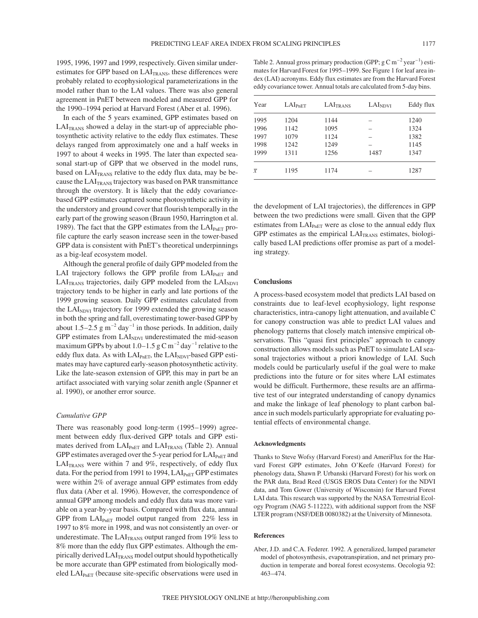1995, 1996, 1997 and 1999, respectively. Given similar underestimates for GPP based on LAI<sub>TRANS</sub>, these differences were probably related to ecophysiological parameterizations in the model rather than to the LAI values. There was also general agreement in PnET between modeled and measured GPP for the 1990–1994 period at Harvard Forest (Aber et al. 1996).

In each of the 5 years examined, GPP estimates based on  $LAI<sub>TRANS</sub>$  showed a delay in the start-up of appreciable photosynthetic activity relative to the eddy flux estimates. These delays ranged from approximately one and a half weeks in 1997 to about 4 weeks in 1995. The later than expected seasonal start-up of GPP that we observed in the model runs, based on LAITRANS relative to the eddy flux data, may be because the  $LAI<sub>TRANS</sub>$  trajectory was based on PAR transmittance through the overstory. It is likely that the eddy covariancebased GPP estimates captured some photosynthetic activity in the understory and ground cover that flourish temporally in the early part of the growing season (Braun 1950, Harrington et al. 1989). The fact that the GPP estimates from the  $LAI_{PnET}$  profile capture the early season increase seen in the tower-based GPP data is consistent with PnET's theoretical underpinnings as a big-leaf ecosystem model.

Although the general profile of daily GPP modeled from the LAI trajectory follows the GPP profile from LAI<sub>PnET</sub> and  $LAI<sub>TRANS</sub>$  trajectories, daily GPP modeled from the  $LAI<sub>NDVI</sub>$ trajectory tends to be higher in early and late portions of the 1999 growing season. Daily GPP estimates calculated from the LAI<sub>NDVI</sub> trajectory for 1999 extended the growing season in both the spring and fall, overestimating tower-based GPP by about 1.5–2.5  $\rm g$  m<sup>-2</sup> day<sup>-1</sup> in those periods. In addition, daily GPP estimates from  $LAI<sub>NDVI</sub>$  underestimated the mid-season maximum GPPs by about  $1.0-1.5$  g C m<sup>-2</sup> day<sup>-1</sup> relative to the eddy flux data. As with LAI<sub>PnET</sub>, the LAI<sub>NDVI</sub>-based GPP estimates may have captured early-season photosynthetic activity. Like the late-season extension of GPP, this may in part be an artifact associated with varying solar zenith angle (Spanner et al. 1990), or another error source.

## *Cumulative GPP*

There was reasonably good long-term (1995–1999) agreement between eddy flux-derived GPP totals and GPP estimates derived from  $LAI_{PnET}$  and  $LAI_{TRANS}$  (Table 2). Annual GPP estimates averaged over the 5-year period for  $LAI_{PhET}$  and  $LAI<sub>TRANS</sub>$  were within 7 and 9%, respectively, of eddy flux data. For the period from 1991 to 1994,  $LAI_{PnET}$  GPP estimates were within 2% of average annual GPP estimates from eddy flux data (Aber et al. 1996). However, the correspondence of annual GPP among models and eddy flux data was more variable on a year-by-year basis. Compared with flux data, annual GPP from  $LAI_{PnET}$  model output ranged from 22% less in 1997 to 8% more in 1998, and was not consistently an over- or underestimate. The  $LAI<sub>TRANS</sub>$  output ranged from 19% less to 8% more than the eddy flux GPP estimates. Although the empirically derived LAITRANS model output should hypothetically be more accurate than GPP estimated from biologically modeled LAI<sub>PnET</sub> (because site-specific observations were used in

Table 2. Annual gross primary production (GPP;  $g \text{C m}^{-2}$  year<sup>-1</sup>) estimates for Harvard Forest for 1995–1999. See Figure 1 for leaf area index (LAI) acronyms. Eddy flux estimates are from the Harvard Forest eddy covariance tower. Annual totals are calculated from 5-day bins.

| Year      | $LAI_{PnET}$ | LAI <sub>TRANS</sub> | LAI <sub>NDVI</sub> | Eddy flux |
|-----------|--------------|----------------------|---------------------|-----------|
| 1995      | 1204         | 1144                 |                     | 1240      |
| 1996      | 1142         | 1095                 | -                   | 1324      |
| 1997      | 1079         | 1124                 |                     | 1382      |
| 1998      | 1242         | 1249                 | -                   | 1145      |
| 1999      | 1311         | 1256                 | 1487                | 1347      |
| $\bar{x}$ | 1195         | 1174                 |                     | 1287      |

the development of LAI trajectories), the differences in GPP between the two predictions were small. Given that the GPP estimates from  $LAI_{PnET}$  were as close to the annual eddy flux GPP estimates as the empirical  $LAI<sub>TRANS</sub>$  estimates, biologically based LAI predictions offer promise as part of a modeling strategy.

# **Conclusions**

A process-based ecosystem model that predicts LAI based on constraints due to leaf-level ecophysiology, light response characteristics, intra-canopy light attenuation, and available C for canopy construction was able to predict LAI values and phenology patterns that closely match intensive empirical observations. This "quasi first principles" approach to canopy construction allows models such as PnET to simulate LAI seasonal trajectories without a priori knowledge of LAI. Such models could be particularly useful if the goal were to make predictions into the future or for sites where LAI estimates would be difficult. Furthermore, these results are an affirmative test of our integrated understanding of canopy dynamics and make the linkage of leaf phenology to plant carbon balance in such models particularly appropriate for evaluating potential effects of environmental change.

#### **Acknowledgments**

Thanks to Steve Wofsy (Harvard Forest) and AmeriFlux for the Harvard Forest GPP estimates, John O'Keefe (Harvard Forest) for phenology data, Shawn P. Urbanski (Harvard Forest) for his work on the PAR data, Brad Reed (USGS EROS Data Center) for the NDVI data, and Tom Gower (University of Wisconsin) for Harvard Forest LAI data. This research was supported by the NASA Terrestrial Ecology Program (NAG 5-11222), with additional support from the NSF LTER program (NSF/DEB 0080382) at the University of Minnesota.

#### **References**

Aber, J.D. and C.A. Federer. 1992. A generalized, lumped parameter model of photosynthesis, evapotranspiration, and net primary production in temperate and boreal forest ecosystems. Oecologia 92: 463–474.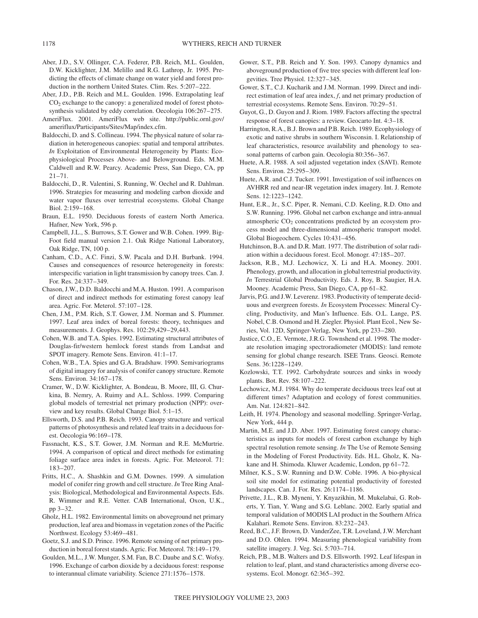- Aber, J.D., S.V. Ollinger, C.A. Federer, P.B. Reich, M.L. Goulden, D.W. Kicklighter, J.M. Melillo and R.G. Lathrop, Jr. 1995. Predicting the effects of climate change on water yield and forest production in the northern United States. Clim. Res. 5:207–222.
- Aber, J.D., P.B. Reich and M.L. Goulden. 1996. Extrapolating leaf  $CO<sub>2</sub>$  exchange to the canopy: a generalized model of forest photosynthesis validated by eddy correlation. Oecologia 106:267–275.
- AmeriFlux. 2001. AmeriFlux web site. http://public.ornl.gov/ ameriflux/Participants/Sites/Map/index.cfm.
- Baldocchi, D. and S. Collineau. 1994. The physical nature of solar radiation in heterogeneous canopies: spatial and temporal attributes. *In* Exploitation of Environmental Heterogeneity by Plants: Ecophysiological Processes Above- and Belowground. Eds. M.M. Caldwell and R.W. Pearcy. Academic Press, San Diego, CA, pp  $21 - 71$ .
- Baldocchi, D., R. Valentini, S. Running, W. Oechel and R. Dahlman. 1996. Strategies for measuring and modeling carbon dioxide and water vapor fluxes over terrestrial ecosystems. Global Change Biol. 2:159–168.
- Braun, E.L. 1950. Deciduous forests of eastern North America. Hafner, New York, 596 p.
- Campbell, J.L., S. Burrows, S.T. Gower and W.B. Cohen. 1999. Big-Foot field manual version 2.1. Oak Ridge National Laboratory, Oak Ridge, TN, 100 p.
- Canham, C.D., A.C. Finzi, S.W. Pacala and D.H. Burbank. 1994. Causes and consequences of resource heterogeneity in forests: interspecific variation in light transmission by canopy trees. Can. J. For. Res. 24:337–349.
- Chason, J.W., D.D. Baldocchi and M.A. Huston. 1991. A comparison of direct and indirect methods for estimating forest canopy leaf area. Agric. For. Meterol. 57:107–128.
- Chen, J.M., P.M. Rich, S.T. Gower, J.M. Norman and S. Plummer. 1997. Leaf area index of boreal forests: theory, techniques and measurements. J. Geophys. Res. 102:29,429–29,443.
- Cohen, W.B. and T.A. Spies. 1992. Estimating structural attributes of Douglas-fir/western hemlock forest stands from Landsat and SPOT imagery. Remote Sens. Environ. 41:1–17.
- Cohen, W.B., T.A. Spies and G.A. Bradshaw. 1990. Semivariograms of digital imagery for analysis of conifer canopy structure. Remote Sens. Environ. 34:167–178.
- Cramer, W., D.W. Kicklighter, A. Bondeau, B. Moore, III, G. Churkina, B. Nemry, A. Ruimy and A.L. Schloss. 1999. Comparing global models of terrestrial net primary production (NPP): overview and key results. Global Change Biol. 5:1–15.
- Ellsworth, D.S. and P.B. Reich. 1993. Canopy structure and vertical patterns of photosynthesis and related leaf traits in a deciduous forest. Oecologia 96:169–178.
- Fassnacht, K.S., S.T. Gower, J.M. Norman and R.E. McMurtrie. 1994. A comparison of optical and direct methods for estimating foliage surface area index in forests. Agric. For. Meteorol. 71: 183–207.
- Fritts, H.C., A. Shashkin and G.M. Downes. 1999. A simulation model of conifer ring growth and cell structure. *In* Tree Ring Analysis: Biological, Methodological and Environmental Aspects. Eds. R. Wimmer and R.E. Vetter. CAB International, Oxon, U.K., pp 3–32.
- Gholz, H.L. 1982. Environmental limits on aboveground net primary production, leaf area and biomass in vegetation zones of the Pacific Northwest. Ecology 53:469–481.
- Goetz, S.J. and S.D. Prince. 1996. Remote sensing of net primary production in boreal forest stands. Agric. For. Meteorol. 78:149–179.
- Goulden, M.L., J.W. Munger, S.M. Fan, B.C. Daube and S.C. Wofsy. 1996. Exchange of carbon dioxide by a deciduous forest: response to interannual climate variability. Science 271:1576–1578.
- Gower, S.T., P.B. Reich and Y. Son. 1993. Canopy dynamics and aboveground production of five tree species with different leaf longevities. Tree Physiol. 12:327–345.
- Gower, S.T., C.J. Kucharik and J.M. Norman. 1999. Direct and indirect estimation of leaf area index, *f*, and net primary production of terrestrial ecosystems. Remote Sens. Environ. 70:29–51.
- Guyot, G., D. Guyon and J. Riom. 1989. Factors affecting the spectral response of forest canopies: a review. Geocarto Int. 4:3–18.
- Harrington, R.A., B.J. Brown and P.B. Reich. 1989. Ecophysiology of exotic and native shrubs in southern Wisconsin. I. Relationship of leaf characteristics, resource availability and phenology to seasonal patterns of carbon gain. Oecologia 80:356–367.
- Huete, A.R. 1988. A soil adjusted vegetation index (SAVI). Remote Sens. Environ. 25:295–309.
- Huete, A.R. and C.J. Tucker. 1991. Investigation of soil influences on AVHRR red and near-IR vegetation index imagery. Int. J. Remote Sens. 12:1223–1242.
- Hunt, E.R., Jr., S.C. Piper, R. Nemani, C.D. Keeling, R.D. Otto and S.W. Running. 1996. Global net carbon exchange and intra-annual atmospheric CO<sub>2</sub> concentrations predicted by an ecosystem process model and three-dimensional atmospheric transport model. Global Biogeochem. Cycles 10:431–456.
- Hutchinson, B.A. and D.R. Matt. 1977. The distribution of solar radiation within a deciduous forest. Ecol. Monogr. 47:185–207.
- Jackson, R.B., M.J. Lechowicz, X. Li and H.A. Mooney. 2001. Phenology, growth, and allocation in global terrestrial productivity. *In* Terrestrial Global Productivity. Eds. J. Roy, B. Saugier, H.A. Mooney. Academic Press, San Diego, CA, pp 61–82.
- Jarvis, P.G. and J.W. Leverenz. 1983. Productivity of temperate deciduous and evergreen forests. *In* Ecosystem Processes: Mineral Cycling, Productivity, and Man's Influence. Eds. O.L. Lange, P.S. Nobel, C.B. Osmond and H. Ziegler. Physiol. Plant Ecol., New Series, Vol. 12D, Springer-Verlag, New York, pp 233–280.
- Justice, C.O., E. Vermote, J.R.G. Townshend et al. 1998. The moderate resolution imaging spectroradiometer (MODIS): land remote sensing for global change research. ISEE Trans. Geosci. Remote Sens. 36:1228–1249.
- Kozlowski, T.T. 1992. Carbohydrate sources and sinks in woody plants. Bot. Rev. 58:107–222.
- Lechowicz, M.J. 1984. Why do temperate deciduous trees leaf out at different times? Adaptation and ecology of forest communities. Am. Nat. 124:821–842.
- Leith, H. 1974. Phenology and seasonal modelling. Springer-Verlag, New York, 444 p.
- Martin, M.E. and J.D. Aber. 1997. Estimating forest canopy characteristics as inputs for models of forest carbon exchange by high spectral resolution remote sensing. *In* The Use of Remote Sensing in the Modeling of Forest Productivity. Eds. H.L. Gholz, K. Nakane and H. Shimoda. Kluwer Academic, London, pp 61–72.
- Milner, K.S., S.W. Running and D.W. Coble. 1996. A bio-physical soil site model for estimating potential productivity of forested landscapes. Can. J. For. Res. 26:1174–1186.
- Privette, J.L., R.B. Myneni, Y. Knyazikhin, M. Mukelabai, G. Roberts, Y. Tian, Y. Wang and S.G. Leblanc. 2002. Early spatial and temporal validation of MODIS LAI product in the Southern Africa Kalahari. Remote Sens. Environ. 83:232–243.
- Reed, B.C., J.F. Brown, D. VanderZee, T.R. Loveland, J.W. Merchant and D.O. Ohlen. 1994. Measuring phenological variability from satellite imagery. J. Veg. Sci. 5:703–714.
- Reich, P.B., M.B. Walters and D.S. Ellsworth. 1992. Leaf lifespan in relation to leaf, plant, and stand characteristics among diverse ecosystems. Ecol. Monogr. 62:365–392.